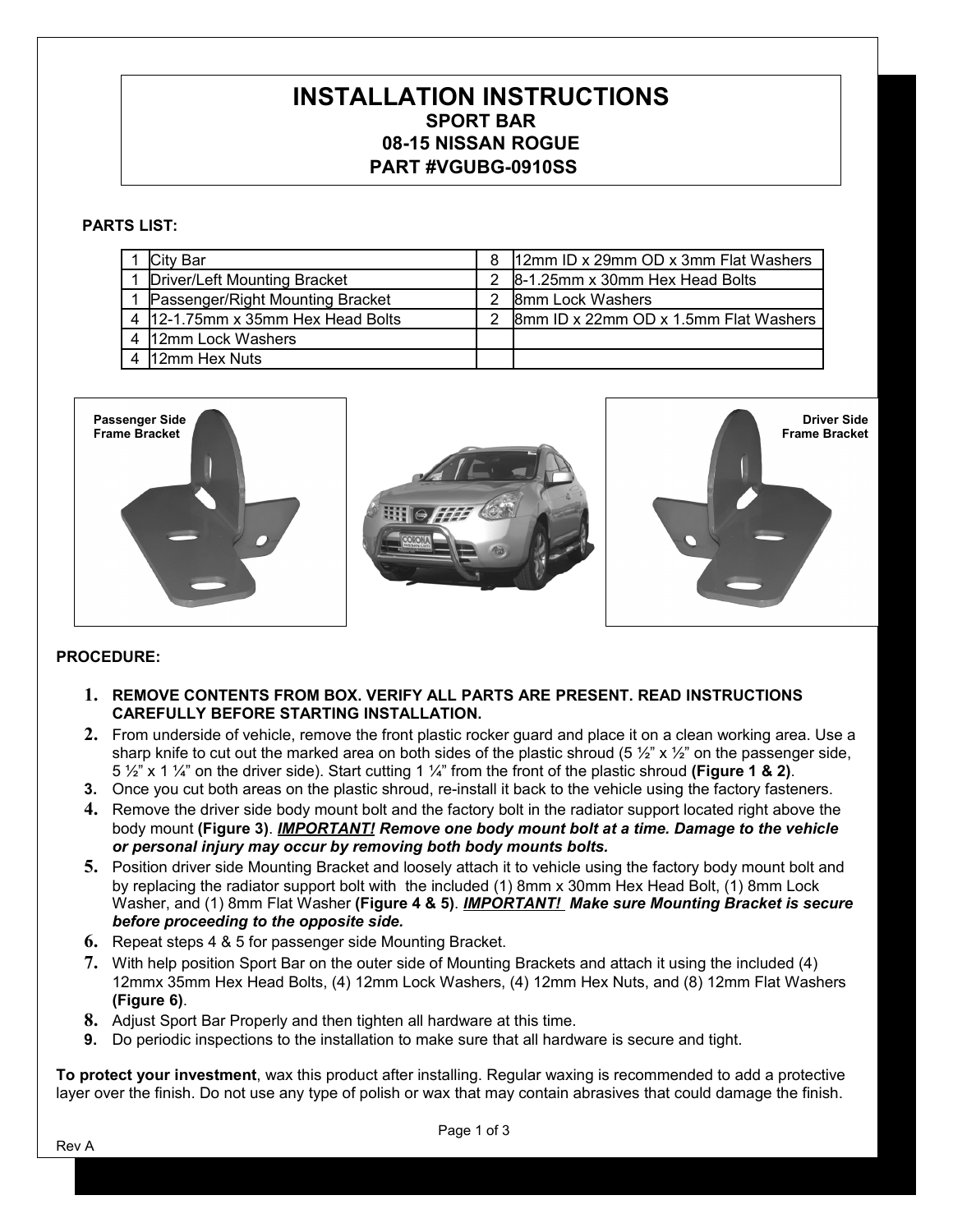## **INSTALLATION INSTRUCTIONS SPORT BAR 08-15 NISSAN ROGUE PART #VGUBG-0910SS**

## **PARTS LIST:**

| City Bar                          | 8 | 12mm ID x 29mm OD x 3mm Flat Washers  |
|-----------------------------------|---|---------------------------------------|
| Driver/Left Mounting Bracket      |   | 8-1.25mm x 30mm Hex Head Bolts        |
| Passenger/Right Mounting Bracket  |   | 8mm Lock Washers                      |
| 4 12-1.75mm x 35mm Hex Head Bolts |   | 8mm ID x 22mm OD x 1.5mm Flat Washers |
| 4 12mm Lock Washers               |   |                                       |
| 12mm Hex Nuts                     |   |                                       |







#### **PROCEDURE:**

- **1. REMOVE CONTENTS FROM BOX. VERIFY ALL PARTS ARE PRESENT. READ INSTRUCTIONS CAREFULLY BEFORE STARTING INSTALLATION.**
- **2.** From underside of vehicle, remove the front plastic rocker guard and place it on a clean working area. Use a sharp knife to cut out the marked area on both sides of the plastic shroud (5  $\frac{1}{2}$ " x  $\frac{1}{2}$ " on the passenger side, 5 ½" x 1 ¼" on the driver side). Start cutting 1 ¼" from the front of the plastic shroud **(Figure 1 & 2)**.
- **3.** Once you cut both areas on the plastic shroud, re-install it back to the vehicle using the factory fasteners.
- **4.** Remove the driver side body mount bolt and the factory bolt in the radiator support located right above the body mount **(Figure 3)**. *IMPORTANT! Remove one body mount bolt at a time. Damage to the vehicle or personal injury may occur by removing both body mounts bolts.*
- **5.** Position driver side Mounting Bracket and loosely attach it to vehicle using the factory body mount bolt and by replacing the radiator support bolt with the included (1) 8mm x 30mm Hex Head Bolt, (1) 8mm Lock Washer, and (1) 8mm Flat Washer **(Figure 4 & 5)**. *IMPORTANT! Make sure Mounting Bracket is secure before proceeding to the opposite side.*
- **6.** Repeat steps 4 & 5 for passenger side Mounting Bracket.
- **7.** With help position Sport Bar on the outer side of Mounting Brackets and attach it using the included (4) 12mmx 35mm Hex Head Bolts, (4) 12mm Lock Washers, (4) 12mm Hex Nuts, and (8) 12mm Flat Washers **(Figure 6)**.
- **8.** Adjust Sport Bar Properly and then tighten all hardware at this time.
- **9.** Do periodic inspections to the installation to make sure that all hardware is secure and tight.

**To protect your investment**, wax this product after installing. Regular waxing is recommended to add a protective layer over the finish. Do not use any type of polish or wax that may contain abrasives that could damage the finish.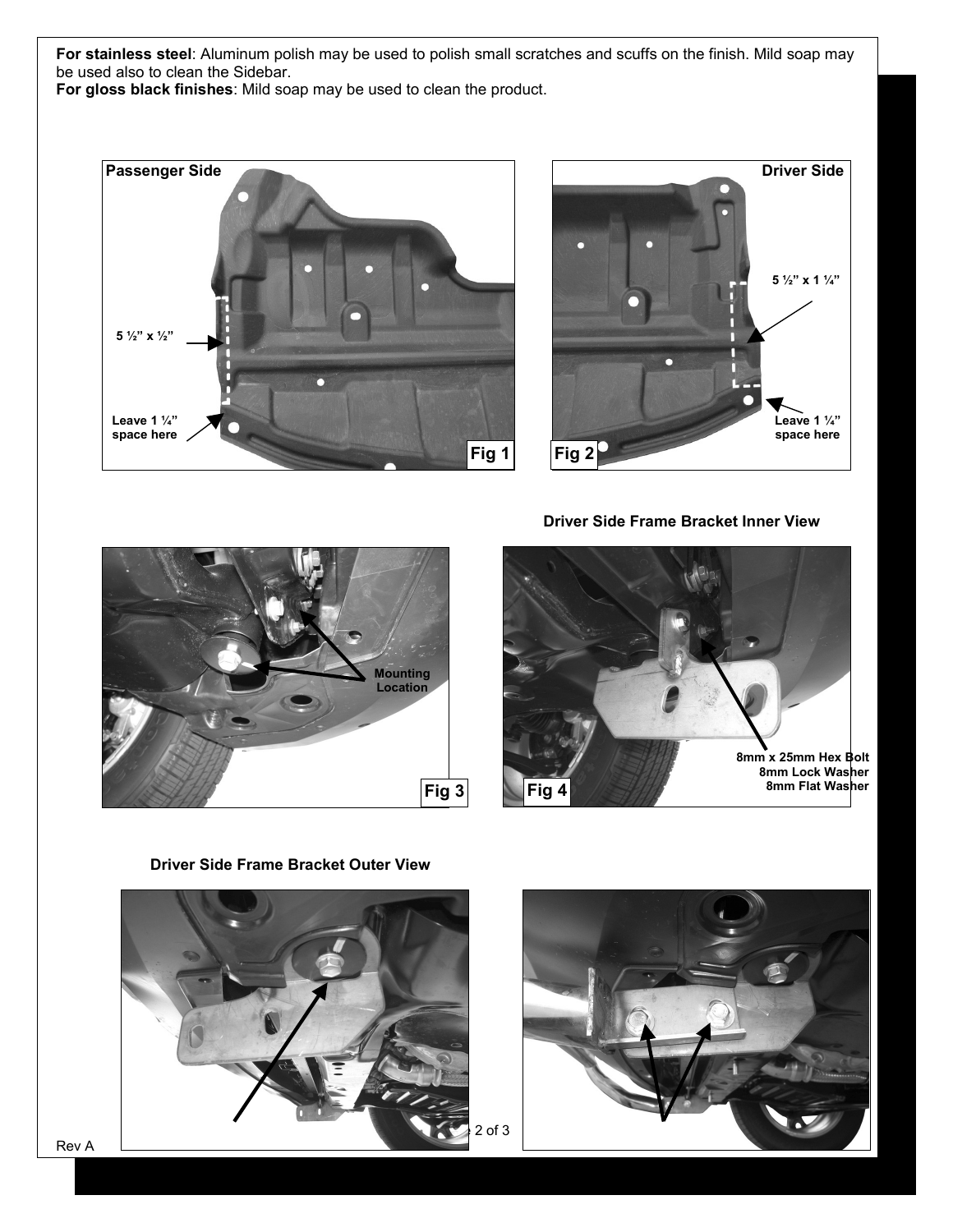**For stainless steel**: Aluminum polish may be used to polish small scratches and scuffs on the finish. Mild soap may be used also to clean the Sidebar.

**For gloss black finishes**: Mild soap may be used to clean the product.





**Driver Side Frame Bracket Inner View**





**Driver Side Frame Bracket Outer View**





Rev A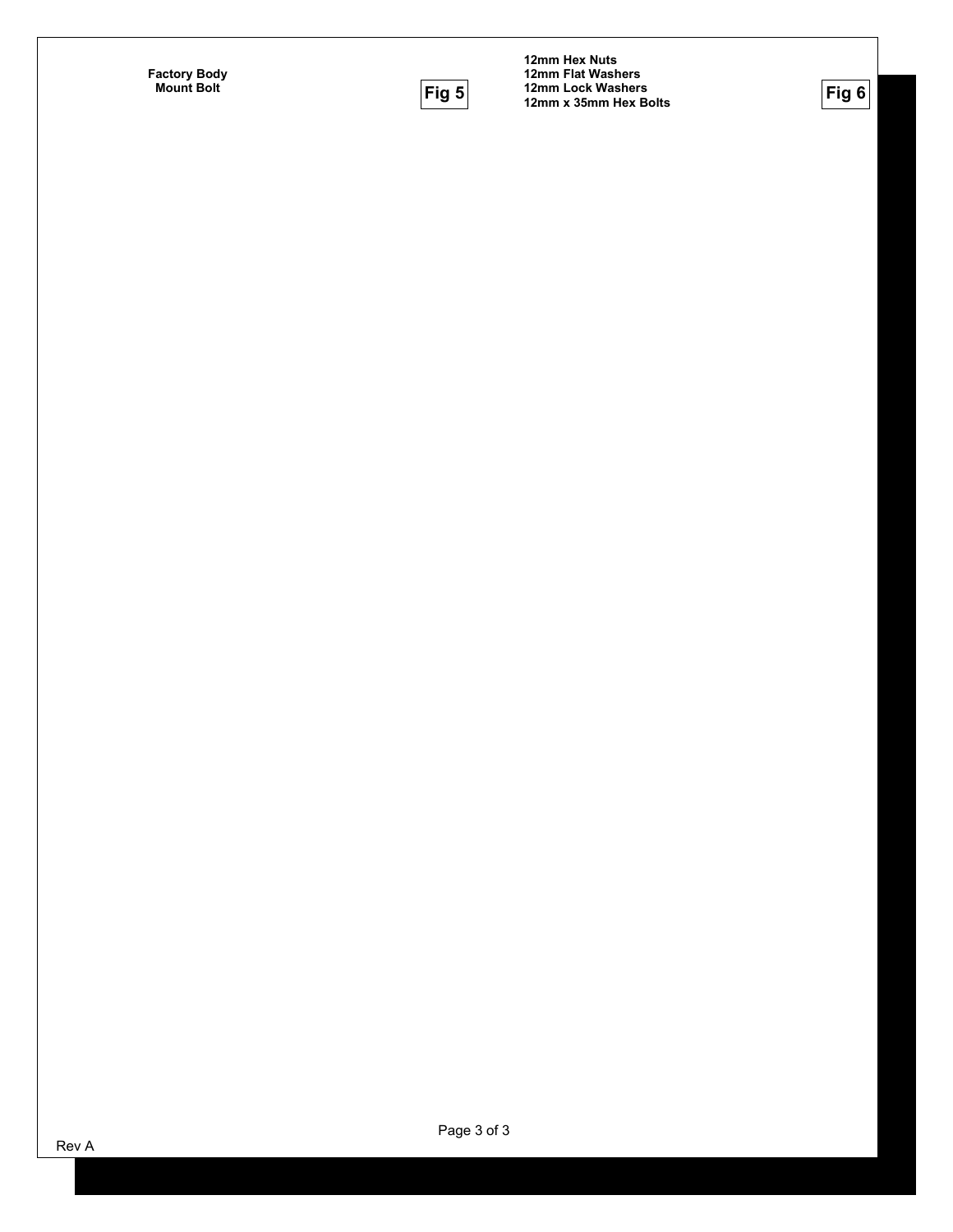**Factory Body** 



**Mount Bolt Fig 6 12mm Hex Nuts 12mm Flat Washers 12mm Lock Washers 12mm x 35mm Hex Bolts**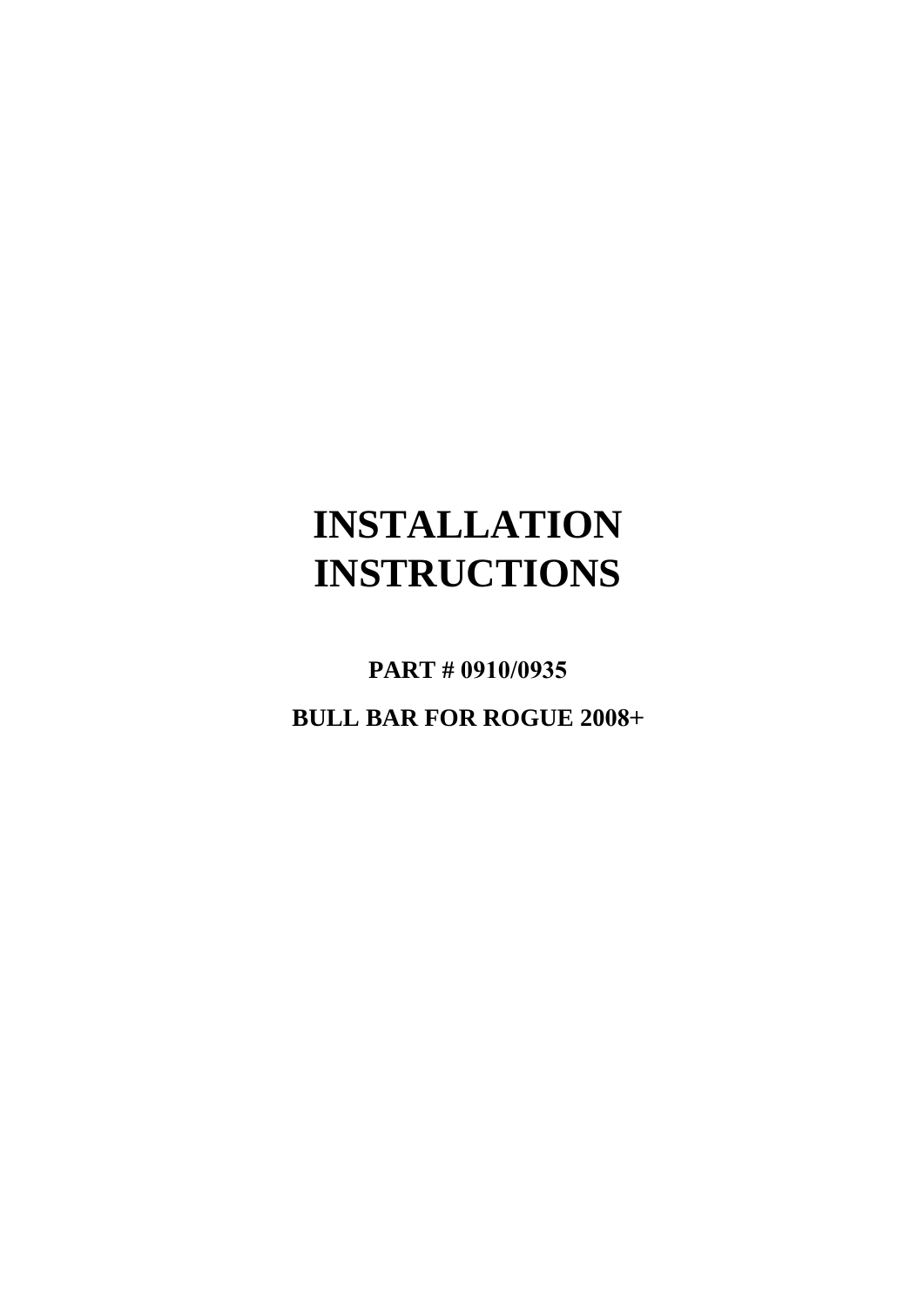# **INSTALLATION INSTRUCTIONS**

**PART # 0910/0935**

**BULL BAR FOR ROGUE 2008+**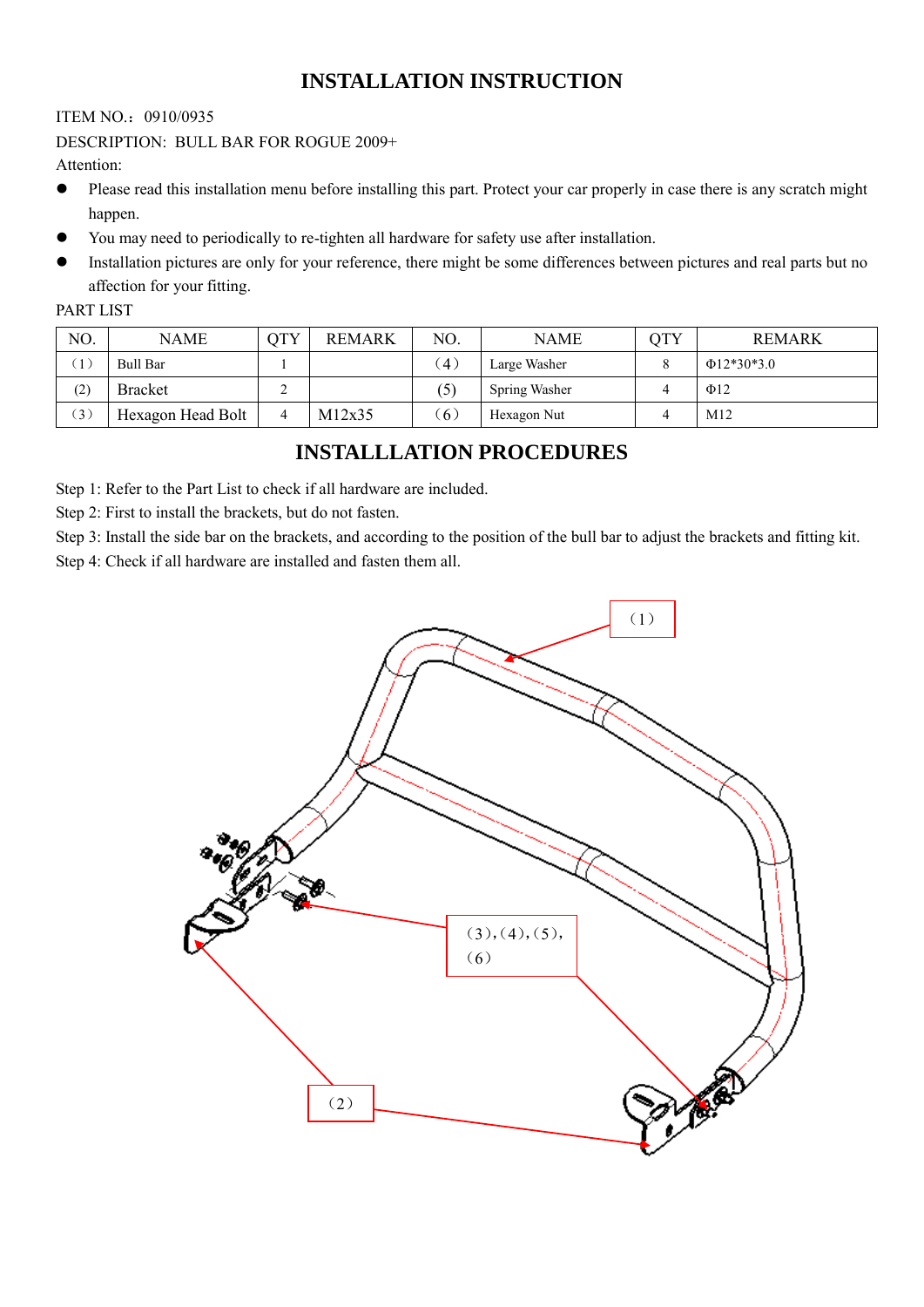## **INSTALLATION INSTRUCTION**

## ITEM NO.:0910/0935

## DESCRIPTION: BULL BAR FOR ROGUE 2009+

Attention:

- Please read this installation menu before installing this part. Protect your car properly in case there is any scratch might happen.
- You may need to periodically to re-tighten all hardware for safety use after installation.
- Installation pictures are only for your reference, there might be some differences between pictures and real parts but no affection for your fitting.

## PART LIST

| NO. | <b>NAME</b>       | OTY      | <b>REMARK</b> | NO.               | <b>NAME</b>   | OTY | <b>REMARK</b>    |
|-----|-------------------|----------|---------------|-------------------|---------------|-----|------------------|
|     | Bull Bar          |          |               | $\left( 4\right)$ | Large Washer  |     | $\Phi$ 12*30*3.0 |
| (2) | <b>Bracket</b>    |          |               | (5)               | Spring Washer |     | $\Phi$ 12        |
| (3) | Hexagon Head Bolt | $\Delta$ | M12x35        | $\left(6\right)$  | Hexagon Nut   |     | M12              |

## **INSTALLLATION PROCEDURES**

Step 1: Refer to the Part List to check if all hardware are included.

Step 2: First to install the brackets, but do not fasten.

Step 3: Install the side bar on the brackets, and according to the position of the bull bar to adjust the brackets and fitting kit. Step 4: Check if all hardware are installed and fasten them all.